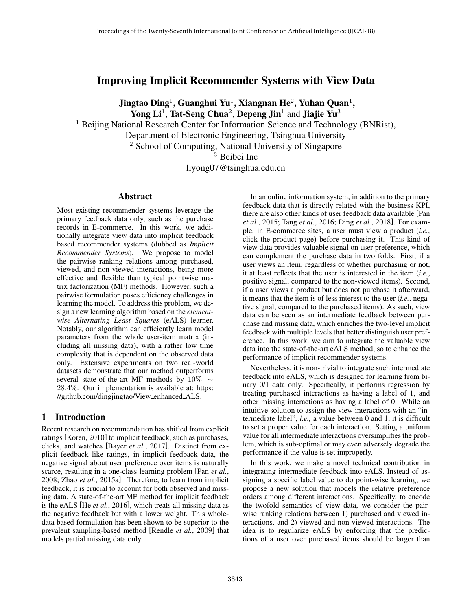# Improving Implicit Recommender Systems with View Data

Jingtao Ding $^1$ , Guanghui Yu $^1$ , Xiangnan He $^2$ , Yuhan Quan $^1$ , Yong Li<sup>1</sup>, Tat-Seng Chua<sup>2</sup>, Depeng Jin<sup>1</sup> and Jiajie Yu<sup>3</sup>

<sup>1</sup> Beijing National Research Center for Information Science and Technology (BNRist),

Department of Electronic Engineering, Tsinghua University

<sup>2</sup> School of Computing, National University of Singapore

<sup>3</sup> Beibei Inc

liyong07@tsinghua.edu.cn

## Abstract

Most existing recommender systems leverage the primary feedback data only, such as the purchase records in E-commerce. In this work, we additionally integrate view data into implicit feedback based recommender systems (dubbed as *Implicit Recommender Systems*). We propose to model the pairwise ranking relations among purchased, viewed, and non-viewed interactions, being more effective and flexible than typical pointwise matrix factorization (MF) methods. However, such a pairwise formulation poses efficiency challenges in learning the model. To address this problem, we design a new learning algorithm based on the *elementwise Alternating Least Squares* (eALS) learner. Notably, our algorithm can efficiently learn model parameters from the whole user-item matrix (including all missing data), with a rather low time complexity that is dependent on the observed data only. Extensive experiments on two real-world datasets demonstrate that our method outperforms several state-of-the-art MF methods by 10% ∼ 28.4%. Our implementation is available at: https: //github.com/dingjingtao/View enhanced ALS.

## 1 Introduction

Recent research on recommendation has shifted from explicit ratings [Koren, 2010] to implicit feedback, such as purchases, clicks, and watches [Bayer *et al.*, 2017]. Distinct from explicit feedback like ratings, in implicit feedback data, the negative signal about user preference over items is naturally scarce, resulting in a one-class learning problem [Pan *et al.*, 2008; Zhao *et al.*, 2015a]. Therefore, to learn from implicit feedback, it is crucial to account for both observed and missing data. A state-of-the-art MF method for implicit feedback is the eALS [He *et al.*, 2016], which treats all missing data as the negative feedback but with a lower weight. This wholedata based formulation has been shown to be superior to the prevalent sampling-based method [Rendle *et al.*, 2009] that models partial missing data only.

In an online information system, in addition to the primary feedback data that is directly related with the business KPI, there are also other kinds of user feedback data available [Pan *et al.*, 2015; Tang *et al.*, 2016; Ding *et al.*, 2018]. For example, in E-commerce sites, a user must view a product (*i.e.*, click the product page) before purchasing it. This kind of view data provides valuable signal on user preference, which can complement the purchase data in two folds. First, if a user views an item, regardless of whether purchasing or not, it at least reflects that the user is interested in the item (*i.e.*, positive signal, compared to the non-viewed items). Second, if a user views a product but does not purchase it afterward, it means that the item is of less interest to the user (*i.e.*, negative signal, compared to the purchased items). As such, view data can be seen as an intermediate feedback between purchase and missing data, which enriches the two-level implicit feedback with multiple levels that better distinguish user preference. In this work, we aim to integrate the valuable view data into the state-of-the-art eALS method, so to enhance the performance of implicit recommender systems.

Nevertheless, it is non-trivial to integrate such intermediate feedback into eALS, which is designed for learning from binary 0/1 data only. Specifically, it performs regression by treating purchased interactions as having a label of 1, and other missing interactions as having a label of 0. While an intuitive solution to assign the view interactions with an "intermediate label", *i.e.,* a value between 0 and 1, it is difficult to set a proper value for each interaction. Setting a uniform value for all intermediate interactions oversimplifies the problem, which is sub-optimal or may even adversely degrade the performance if the value is set improperly.

In this work, we make a novel technical contribution in integrating intermediate feedback into eALS. Instead of assigning a specific label value to do point-wise learning, we propose a new solution that models the relative preference orders among different interactions. Specifically, to encode the twofold semantics of view data, we consider the pairwise ranking relations between 1) purchased and viewed interactions, and 2) viewed and non-viewed interactions. The idea is to regularize eALS by enforcing that the predictions of a user over purchased items should be larger than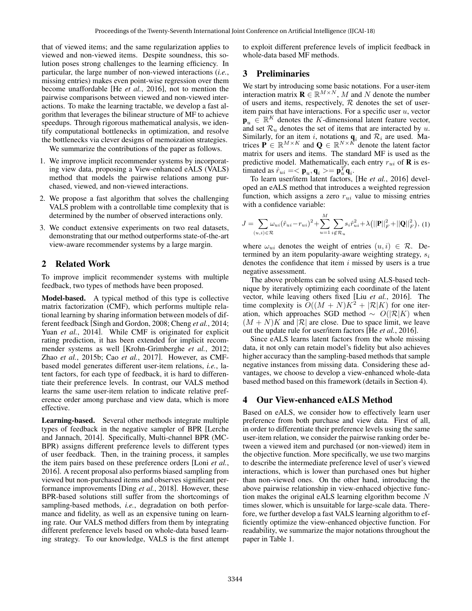that of viewed items; and the same regularization applies to viewed and non-viewed items. Despite soundness, this solution poses strong challenges to the learning efficiency. In particular, the large number of non-viewed interactions (*i.e.*, missing entries) makes even point-wise regression over them become unaffordable [He *et al.*, 2016], not to mention the pairwise comparisons between viewed and non-viewed interactions. To make the learning tractable, we develop a fast algorithm that leverages the bilinear structure of MF to achieve speedups. Through rigorous mathematical analysis, we identify computational bottlenecks in optimization, and resolve the bottlenecks via clever designs of memoization strategies.

We summarize the contributions of the paper as follows.

- 1. We improve implicit recommender systems by incorporating view data, proposing a View-enhanced eALS (VALS) method that models the pairwise relations among purchased, viewed, and non-viewed interactions.
- 2. We propose a fast algorithm that solves the challenging VALS problem with a controllable time complexity that is determined by the number of observed interactions only.
- 3. We conduct extensive experiments on two real datasets, demonstrating that our method outperforms state-of-the-art view-aware recommender systems by a large margin.

## 2 Related Work

To improve implicit recommender systems with multiple feedback, two types of methods have been proposed.

Model-based. A typical method of this type is collective matrix factorization (CMF), which performs multiple relational learning by sharing information between models of different feedback [Singh and Gordon, 2008; Cheng *et al.*, 2014; Yuan *et al.*, 2014]. While CMF is originated for explicit rating prediction, it has been extended for implicit recommender systems as well [Krohn-Grimberghe *et al.*, 2012; Zhao *et al.*, 2015b; Cao *et al.*, 2017]. However, as CMFbased model generates different user-item relations, *i.e.*, latent factors, for each type of feedback, it is hard to differentiate their preference levels. In contrast, our VALS method learns the same user-item relation to indicate relative preference order among purchase and view data, which is more effective.

Learning-based. Several other methods integrate multiple types of feedback in the negative sampler of BPR [Lerche and Jannach, 2014]. Specifically, Multi-channel BPR (MC-BPR) assigns different preference levels to different types of user feedback. Then, in the training process, it samples the item pairs based on these preference orders [Loni *et al.*, 2016]. A recent proposal also performs biased sampling from viewed but non-purchased items and observes significant performance improvements [Ding *et al.*, 2018]. However, these BPR-based solutions still suffer from the shortcomings of sampling-based methods, *i.e.*, degradation on both performance and fidelity, as well as an expensive tuning on learning rate. Our VALS method differs from them by integrating different preference levels based on whole-data based learning strategy. To our knowledge, VALS is the first attempt to exploit different preference levels of implicit feedback in whole-data based MF methods.

## 3 Preliminaries

We start by introducing some basic notations. For a user-item interaction matrix  $\mathbf{R} \in \mathbb{R}^{M \times N}$ , M and N denote the number of users and items, respectively,  $R$  denotes the set of useritem pairs that have interactions. For a specific user  $u$ , vector  $\mathbf{p}_u \in \mathbb{R}^K$  denotes the K-dimensional latent feature vector, and set  $\mathcal{R}_u$  denotes the set of items that are interacted by u. Similarly, for an item i, notations  $q_i$  and  $\mathcal{R}_i$  are used. Matrices  $\mathbf{P} \in \mathbb{R}^{M \times K}$  and  $\mathbf{Q} \in \mathbb{R}^{N \times \hat{K}}$  denote the latent factor matrix for users and items. The standard MF is used as the predictive model. Mathematically, each entry  $r_{ui}$  of **R** is estimated as  $\hat{r}_{ui} = \langle \mathbf{p}_u, \mathbf{q}_i \rangle = \mathbf{p}_u^T \mathbf{q}_i$ .

To learn user/item latent factors, [He *et al.*, 2016] developed an eALS method that introduces a weighted regression function, which assigns a zero  $r_{ui}$  value to missing entries with a confidence variable:

$$
J = \sum_{(u,i) \in \mathcal{R}} \omega_{ui} (\hat{r}_{ui} - r_{ui})^2 + \sum_{u=1}^M \sum_{i \notin \mathcal{R}_u} s_i \hat{r}_{ui}^2 + \lambda (||\mathbf{P}||_F^2 + ||\mathbf{Q}||_F^2), (1)
$$

where  $\omega_{ui}$  denotes the weight of entries  $(u, i) \in \mathcal{R}$ . Determined by an item popularity-aware weighting strategy,  $s_i$ denotes the confidence that item  $i$  missed by users is a true negative assessment.

The above problems can be solved using ALS-based technique by iteratively optimizing each coordinate of the latent vector, while leaving others fixed [Liu *et al.*, 2016]. The time complexity is  $O((M + N)K^2 + |\mathcal{R}|K)$  for one iteration, which approaches SGD method  $\sim O(|\mathcal{R}|K)$  when  $(M + N)K$  and  $|\mathcal{R}|$  are close. Due to space limit, we leave out the update rule for user/item factors [He *et al.*, 2016].

Since eALS learns latent factors from the whole missing data, it not only can retain model's fidelity but also achieves higher accuracy than the sampling-based methods that sample negative instances from missing data. Considering these advantages, we choose to develop a view-enhanced whole-data based method based on this framework (details in Section 4).

## 4 Our View-enhanced eALS Method

Based on eALS, we consider how to effectively learn user preference from both purchase and view data. First of all, in order to differentiate their preference levels using the same user-item relation, we consider the pairwise ranking order between a viewed item and purchased (or non-viewed) item in the objective function. More specifically, we use two margins to describe the intermediate preference level of user's viewed interactions, which is lower than purchased ones but higher than non-viewed ones. On the other hand, introducing the above pairwise relationship in view-enhaced objective function makes the original eALS learning elgorithm become  $N$ times slower, which is unsuitable for large-scale data. Therefore, we further develop a fast VALS learning algorithm to efficiently optimize the view-enhanced objective function. For readability, we summarize the major notations throughout the paper in Table 1.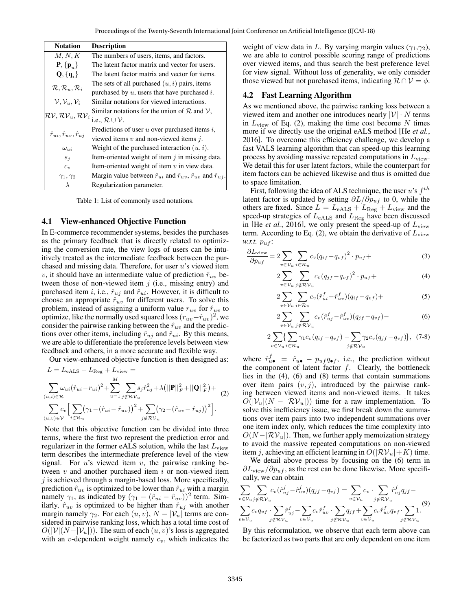| <b>Notation</b>                                | <b>Description</b>                                                                           |
|------------------------------------------------|----------------------------------------------------------------------------------------------|
| M, N, K                                        | The numbers of users, items, and factors.                                                    |
| $\mathbf{P}, \{\mathbf{p}_u\}$                 | The latent factor matrix and vector for users.                                               |
| $Q, \{q_i\}$                                   | The latent factor matrix and vector for items.                                               |
|                                                | The sets of all purchased $(u, i)$ pairs, items                                              |
| $\mathcal{R}, \mathcal{R}_u, \mathcal{R}_i$    | purchased by $u$ , users that have purchased $i$ .                                           |
| $\mathcal{V}, \mathcal{V}_u, \mathcal{V}_i$    | Similar notations for viewed interactions.                                                   |
| $\mathcal{RV}, \mathcal{RV}_u, \mathcal{RV}_i$ | Similar notations for the union of $R$ and $V$ ,                                             |
|                                                | i.e., $\mathcal{R} \cup \mathcal{V}$ .                                                       |
|                                                | Predictions of user $u$ over purchased items $i$ ,                                           |
| $\hat{r}_{ui}, \hat{r}_{uv}, \hat{r}_{ui}$     | viewed items $v$ and non-viewed items $i$ .                                                  |
| $\omega_{ui}$                                  | Weight of the purchased interaction $(u, i)$ .                                               |
| $s_i$                                          | Item-oriented weight of item $\dot{\eta}$ in missing data.                                   |
| $c_v$                                          | Item-oriented weight of item $v$ in view data.                                               |
| $\gamma_1, \gamma_2$                           | Margin value between $\hat{r}_{ui}$ and $\hat{r}_{uv}$ , $\hat{r}_{uv}$ and $\hat{r}_{uj}$ . |
| λ                                              | Regularization parameter.                                                                    |

Table 1: List of commonly used notations.

#### 4.1 View-enhanced Objective Function

In E-commerce recommender systems, besides the purchases as the primary feedback that is directly related to optimizing the conversion rate, the view logs of users can be intuitively treated as the intermediate feedback between the purchased and missing data. Therefore, for user  $u$ 's viewed item v, it should have an intermediate value of prediction  $\hat{r}_{uv}$  between those of non-viewed item  $j$  (i.e., missing entry) and purchased item i, i.e.,  $\hat{r}_{uj}$  and  $\hat{r}_{ui}$ . However, it is difficult to choose an appropriate  $\hat{r}_{uv}$  for different users. To solve this problem, instead of assigning a uniform value  $r_{uv}$  for  $\hat{r}_{uv}$  to optimize, like the normally used squared loss  $(r_{uv}-\hat{r}_{uv})^2$ , we consider the pairwise ranking between the  $\hat{r}_{uv}$  and the predictions over other items, including  $\hat{r}_{uj}$  and  $\hat{r}_{ui}$ . By this means, we are able to differentiate the preference levels between view feedback and others, in a more accurate and flexible way.

Our view-enhanced objective function is then designed as:

$$
L = L_{eALS} + L_{Reg} + L_{view} =
$$
  

$$
\sum_{(u,i) \in \mathcal{R}} \omega_{ui} (\hat{r}_{ui} - r_{ui})^2 + \sum_{u=1}^{M} \sum_{j \notin \mathcal{RV}_u} s_j \hat{r}_{uj}^2 + \lambda (||\mathbf{P}||_F^2 + ||\mathbf{Q}||_F^2) +
$$
  

$$
\sum_{(u,v) \in \mathcal{V}} c_v \Big[ \sum_{i \in \mathcal{R}_u} (\gamma_1 - (\hat{r}_{ui} - \hat{r}_{uv}))^2 + \sum_{j \notin \mathcal{RV}_u} (\gamma_2 - (\hat{r}_{uv} - \hat{r}_{uj}))^2 \Big].
$$

Note that this objective function can be divided into three terms, where the first two represent the prediction error and regularizer in the former eALS solution, while the last  $L_{\rm view}$ term describes the intermediate preference level of the view signal. For  $u$ 's viewed item  $v$ , the pairwise ranking between  $v$  and another purchased item  $i$  or non-viewed item  $j$  is achieved through a margin-based loss. More specifically, prediction  $\hat{r}_{uv}$  is optimized to be lower than  $\hat{r}_{ui}$  with a margin namely  $\gamma_1$ , as indicated by  $(\gamma_1 - (\hat{r}_{ui} - \hat{r}_{uv}))^2$  term. Similarly,  $\hat{r}_{uv}$  is optimized to be higher than  $\hat{r}_{uj}$  with another margin namely  $\gamma_2$ . For each  $(u, v)$ ,  $N - |\mathcal{V}_u|$  terms are considered in pairwise ranking loss, which has a total time cost of  $O(|\mathcal{V}|(N-|\mathcal{V}_u|))$ . The sum of each  $(u, v)$ 's loss is aggregated with an *v*-dependent weight namely  $c_v$ , which indicates the weight of view data in L. By varying margin values ( $\gamma_1, \gamma_2$ ), we are able to control possible scoring range of predictions over viewed items, and thus search the best preference level for view signal. Without loss of generality, we only consider those viewed but not purchased items, indicating  $\mathcal{R} \cap \mathcal{V} = \phi$ .

## 4.2 Fast Learning Algorithm

As we mentioned above, the pairwise ranking loss between a viewed item and another one introduces nearly  $|\mathcal{V}| \cdot N$  terms in  $L_{\text{view}}$  of Eq. (2), making the time cost become N times more if we directly use the original eALS method [He *et al.*, 2016]. To overcome this efficiency challenge, we develop a fast VALS learning algorithm that can speed-up this learning process by avoiding massive repeated computations in  $L_{\text{view}}$ . We detail this for user latent factors, while the counterpart for item factors can be achieved likewise and thus is omitted due to space limitation.

First, following the idea of ALS technique, the user u's  $f^{th}$ latent factor is updated by setting  $\partial L/\partial p_{uf}$  to 0, while the others are fixed. Since  $L = L_{\text{eALS}} + L_{\text{Reg}} + L_{\text{view}}$  and the speed-up strategies of  $L_{\rm eALS}$  and  $L_{\rm Reg}$  have been discussed in [He *et al.*, 2016], we only present the speed-up of  $L_{\text{view}}$ term. According to Eq. (2), we obtain the derivative of  $L_{\text{view}}$ *w.r.t.*  $p_{uf}$ :

$$
\frac{\partial L_{\text{view}}}{\partial p_{uf}} = 2 \sum_{v \in \mathcal{V}_u} \sum_{i \in \mathcal{R}_u} c_v (q_{if} - q_{vf})^2 \cdot p_{uf} + \tag{3}
$$

$$
2\sum_{v\in\mathcal{V}_u}\sum_{j\notin\mathcal{RV}_u}c_v(q_{jf}-q_{vf})^2\cdot p_{uf}+(4)
$$

$$
2\sum_{v\in\mathcal{V}_u}\sum_{i\in\mathcal{R}_u}c_v(\hat{r}_{ui}^f-\hat{r}_{uv}^f)(q_{if}-q_{vf})+
$$
\n(5)

$$
2\sum_{v\in\mathcal{V}_u}\sum_{j\notin\mathcal{RV}_u}c_v(\hat{r}_{uj}^f-\hat{r}_{uv}^f)(q_{jf}-q_{vf})-\tag{6}
$$

$$
2\sum_{v\in\mathcal{V}_u}\left\{\sum_{i\in\mathcal{R}_u}\gamma_1c_v(q_{if}-q_{vf})-\sum_{j\notin\mathcal{RV}_u}\gamma_2c_v(q_{jf}-q_{vf})\right\},\tag{7-8}
$$

where  $\hat{r}_{u\bullet}^f = \hat{r}_{u\bullet} - p_{uf}q_{\bullet f}$ , i.e., the prediction without the component of latent factor  $f$ . Clearly, the bottleneck lies in the (4), (6) and (8) terms that contain summations over item pairs  $(v, j)$ , introduced by the pairwise ranking between viewed items and non-viewed items. It takes  $O(|V_u|(N - |\mathcal{RV}_u|))$  time for a raw implementation. To solve this inefficiency issue, we first break down the summations over item pairs into two independent summations over one item index only, which reduces the time complexity into  $O(N - |\mathcal{RV}_u|)$ . Then, we further apply memoization strategy to avoid the massive repeated computations on non-viewed item j, achieving an efficient learning in  $O(|\mathcal{RV}_u|+K)$  time.

We detail above process by focusing on the (6) term in  $\partial L_{\text{view}}/\partial p_{uf}$ , as the rest can be done likewise. More specifically, we can obtain

$$
\sum_{v \in \mathcal{V}_u} \sum_{j \notin \mathcal{R}} \sum_{v_u} c_v (\hat{r}_{uj}^f - \hat{r}_{uv}^f)(q_{jf} - q_{vf}) = \sum_{v \in \mathcal{V}_u} c_v \cdot \sum_{j \notin \mathcal{R}} \hat{r}_{uj}^f q_{jf} - \sum_{v \in \mathcal{V}_u} c_v q_{vf} \cdot \sum_{j \notin \mathcal{R}} \hat{r}_{uj}^f - \sum_{v \in \mathcal{V}_u} c_v \hat{r}_{uv}^f \cdot \sum_{j \notin \mathcal{R}} q_{jf} + \sum_{v \in \mathcal{V}_u} c_v \hat{r}_{uv}^f q_{vf} \cdot \sum_{j \notin \mathcal{R}} 1.
$$
\n(9)

By this reformulation, we observe that each term above can be factorized as two parts that are only dependent on one item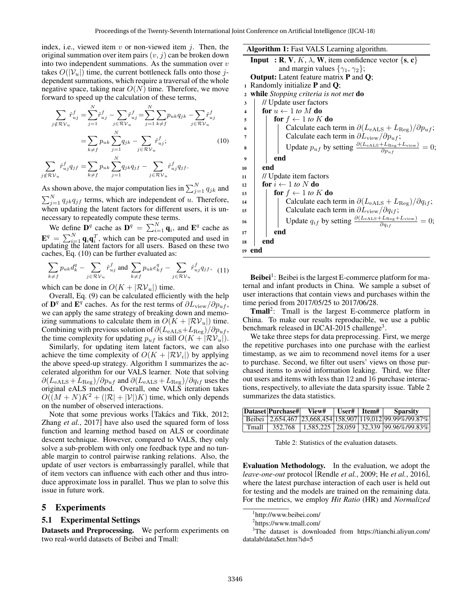index, i.e., viewed item  $v$  or non-viewed item  $i$ . Then, the original summation over item pairs  $(v, j)$  can be broken down into two independent summations. As the summation over  $v$ takes  $O(|V_u|)$  time, the current bottleneck falls onto those jdependent summations, which require a traversal of the whole negative space, taking near  $O(N)$  time. Therefore, we move forward to speed up the calculation of these terms,

$$
\sum_{j \notin \mathcal{RV}_u} \hat{r}_{uj}^f = \sum_{j=1}^N \hat{r}_{uj}^f - \sum_{j \in \mathcal{RV}_u} \hat{r}_{uj}^f = \sum_{j=1}^N \sum_{k \neq f} p_{uk} q_{jk} - \sum_{j \in \mathcal{RV}_u} \hat{r}_{uj}^f
$$

$$
= \sum_{k \neq f} p_{uk} \sum_{j=1}^N q_{jk} - \sum_{j \in \mathcal{RV}_u} \hat{r}_{uj}^f;
$$
(10)

 $\sum$ j∉R ${\cal V}_u$  $\hat{r}^f_{uj}q_{jf}=\sum$  $k \neq f$  $p_{uk}\sum^{N}$  $j=1$  $q_{jk}q_{jf}$  -  $\sum$ j $\in \mathcal{RV}_u$  $\hat{r}^f_{uj} q_{jf}.$ 

As shown above, the major computation lies in  $\sum_{j=1}^{N} q_{jk}$  and  $\sum_{j=1}^{N} q_{jk} q_{jf}$  terms, which are independent of u. Therefore, when updating the latent factors for different users, it is unnecessary to repeatedly compute these terms.

We define  $\mathbf{D}^q$  cache as  $\mathbf{D}^q = \sum_{i=1}^N \mathbf{q}_i$ , and  $\mathbf{E}^q$  cache as  $\mathbf{E}^{q} = \sum_{i=1}^{N} \mathbf{q}_{i} \mathbf{q}_{i}^{T}$ , which can be pre-computed and used in updating the latent factors for all users. Based on these two caches, Eq. (10) can be further evaluated as:

$$
\sum_{k \neq f} p_{uk} d_k^q - \sum_{j \in \mathcal{RV}_u} \hat{r}_{uj}^f \text{ and } \sum_{k \neq f} p_{uk} e_{kf}^q - \sum_{j \in \mathcal{RV}_u} \hat{r}_{uj}^f q_{jf}, \quad (11)
$$

which can be done in  $O(K + |\mathcal{RV}_u|)$  time.

Overall, Eq. (9) can be calculated efficiently with the help of  $\mathbf{D}^{q}$  and  $\mathbf{E}^{q}$  caches. As for the rest terms of  $\partial L_{\text{view}}/\partial p_{uf}$ , we can apply the same strategy of breaking down and memoizing summations to calculate them in  $O(K + |\mathcal{RV}_u|)$  time. Combining with previous solution of  $\partial (L_{\rm eALS}+L_{\rm Reg})/\partial p_{uf}$ , the time complexity for updating  $p_{uf}$  is still  $O(K + |\mathcal{RV}_u|)$ .

Similarly, for updating item latent factors, we can also achieve the time complexity of  $O(K + |\mathcal{RV}_i|)$  by applying the above speed-up strategy. Algorithm 1 summarizes the accelerated algorithm for our VALS learner. Note that solving  $\partial (L_{\rm eALS} + L_{\rm Reg}) / \partial p_{uf}$  and  $\partial (L_{\rm eALS} + L_{\rm Reg}) / \partial q_{if}$  uses the original eALS method. Overall, one VALS iteration takes  $O((M+N)K^2 + (|\mathcal{R}|+|\mathcal{V}|)K)$  time, which only depends on the number of observed interactions.

Note that some previous works [Takács and Tikk, 2012; Zhang *et al.*, 2017] have also used the squared form of loss function and learning method based on ALS or coordinate descent technique. However, compared to VALS, they only solve a sub-problem with only one feedback type and no tunable margin to control pairwise ranking relations. Also, the update of user vectors is embarrassingly parallel, while that of item vectors can influence with each other and thus introduce approximate loss in parallel. Thus we plan to solve this issue in future work.

#### 5 Experiments

#### 5.1 Experimental Settings

Datasets and Preprocessing. We perform experiments on two real-world datasets of Beibei and Tmall:

Algorithm 1: Fast VALS Learning algorithm. **Input** : **R**, **V**, *K*,  $\lambda$ , **W**, item confidence vector {**s**, **c**} and margin values  $\{\gamma_1, \gamma_2\};$ Output: Latent feature matrix P and Q; 1 Randomly initialize  $P$  and  $Q$ ; <sup>2</sup> while *Stopping criteria is not met* do <sup>3</sup> // Update user factors 4 **for**  $u \leftarrow 1$  *to* M **do** 5 **for**  $f \leftarrow 1$  *to* K **do** 6  $\parallel$  | Calculate each term in  $\partial (L_{\text{eALS}} + L_{\text{Reg}})/\partial p_{uf}$ ;  $7 \quad | \quad | \quad |$  Calculate each term in  $\partial L_{\text{view}}/\partial p_{uf};$  $\mathbf{8}$  Update  $p_{uf}$  by setting  $\frac{\partial (L_{\text{eALS}} + L_{\text{Reg}} + L_{\text{view}})}{\partial p_{uf}} = 0;$  $9$   $|$  end  $10$  end <sup>11</sup> // Update item factors 12 **for**  $i \leftarrow 1$  *to* N **do** 13 **for**  $f \leftarrow 1$  *to*  $K$  **do**  $14$  | | Calculate each term in  $\partial (L_{\rm eALS} + L_{\rm Reg})/\partial q_{if}$ ; 15  $\Box$  Calculate each term in  $\partial L_{\text{view}}/\partial q_{if}$ ; 16 Update  $q_{if}$  by setting  $\frac{\partial (L_{\text{eALS}} + L_{\text{Reg}} + L_{\text{view}})}{\partial q_{if}} = 0;$  $17$  end 18 **end** <sup>19</sup> end

Beibei<sup>1</sup>: Beibei is the largest E-commerce platform for maternal and infant products in China. We sample a subset of user interactions that contain views and purchases within the time period from 2017/05/25 to 2017/06/28.

 $Tmall<sup>2</sup>$ : Tmall is the largest E-commerce platform in China. To make our results reproducible, we use a public benchmark released in IJCAI-2015 challenge<sup>3</sup>.

We take three steps for data preprocessing. First, we merge the repetitive purchases into one purchase with the earliest timestamp, as we aim to recommend novel items for a user to purchase. Second, we filter out users' views on those purchased items to avoid information leaking. Third, we filter out users and items with less than 12 and 16 purchase interactions, respectively, to alleviate the data sparsity issue. Table 2 summarizes the data statistics.

|                  | Dataset Purchase#  View#   User#   Item# |  | <b>Sparsity</b>                                           |
|------------------|------------------------------------------|--|-----------------------------------------------------------|
|                  |                                          |  | Beibei 2,654,467 23,668,454 158,907 119,012 99.99%/99.87% |
| $T$ mall $\perp$ |                                          |  | 352,768   1,585,225   28,059   32,339   99.96% / 99.83%   |

Table 2: Statistics of the evaluation datasets.

Evaluation Methodology. In the evaluation, we adopt the *leave-one-out* protocol [Rendle *et al.*, 2009; He *et al.*, 2016], where the latest purchase interaction of each user is held out for testing and the models are trained on the remaining data. For the metrics, we employ *Hit Ratio* (HR) and *Normalized*

<sup>1</sup> http://www.beibei.com/

<sup>2</sup> https://www.tmall.com/

<sup>3</sup>The dataset is downloaded from https://tianchi.aliyun.com/ datalab/dataSet.htm?id=5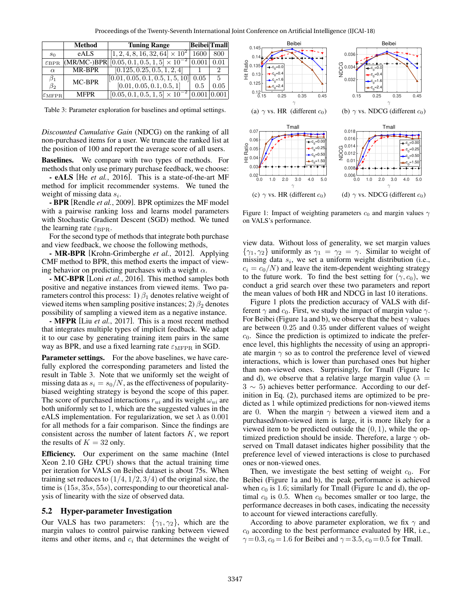Proceedings of the Twenty-Seventh International Joint Conference on Artificial Intelligence (IJCAI-18)

|                            | Method      | <b>Tuning Range</b>                                                         | Beibei <sup></sup> Tmall |               |
|----------------------------|-------------|-----------------------------------------------------------------------------|--------------------------|---------------|
| s <sub>0</sub>             | eALS        | $[1, 2, 4, 8, 16, \overline{32}, 64] \times 10^2$                           | 1600                     | 800           |
| $\mathcal{E} \text{BPR}$   |             | $ (\text{MR/MC-})\text{BPR}  [0.05, 0.1, 0.5, 1, 5] \times 10^{-2}  0.001 $ |                          | 0.01          |
| $\alpha$                   | MR-BPR      | [0.125, 0.25, 0.5, 1, 2, 4]                                                 |                          | $\mathcal{L}$ |
| $\beta_1$                  | MC-BPR      | [0.01, 0.05, 0.1, 0.5, 1, 5, 10]                                            | 0.05                     | - 5           |
| $\beta_2$                  |             | [0.01, 0.05, 0.1, 0.5, 1]                                                   | 0.5                      | 0.05          |
| $ \varepsilon_{\rm MFPR} $ | <b>MFPR</b> | $[0.05, 0.1, 0.5, 1.5] \times 10^{-2}$                                      | 0.001                    | 0.001         |

Table 3: Parameter exploration for baselines and optimal settings.

*Discounted Cumulative Gain* (NDCG) on the ranking of all non-purchased items for a user. We truncate the ranked list at the position of 100 and report the average score of all users.

Baselines. We compare with two types of methods. For methods that only use primary purchase feedback, we choose:

- eALS [He *et al.*, 2016]. This is a state-of-the-art MF method for implicit recommender systems. We tuned the weight of missing data  $s_i$ .

- BPR [Rendle *et al.*, 2009]. BPR optimizes the MF model with a pairwise ranking loss and learns model parameters with Stochastic Gradient Descent (SGD) method. We tuned the learning rate  $\varepsilon_{\text{BPR}}$ .

For the second type of methods that integrate both purchase and view feedback, we choose the following methods,

- MR-BPR [Krohn-Grimberghe *et al.*, 2012]. Applying CMF method to BPR, this method exerts the impact of viewing behavior on predicting purchases with a weight  $\alpha$ .

- MC-BPR [Loni *et al.*, 2016]. This method samples both positive and negative instances from viewed items. Two parameters control this process: 1)  $\beta_1$  denotes relative weight of viewed items when sampling positive instances; 2)  $\beta_2$  denotes possibility of sampling a viewed item as a negative instance.

- MFPR [Liu *et al.*, 2017]. This is a most recent method that integrates multiple types of implicit feedback. We adapt it to our case by generating training item pairs in the same way as BPR, and use a fixed learning rate  $\varepsilon_{\text{MFPR}}$  in SGD.

**Parameter settings.** For the above baselines, we have carefully explored the corresponding parameters and listed the result in Table 3. Note that we uniformly set the weight of missing data as  $s_i = s_0/N$ , as the effectiveness of popularitybiased weighting strategy is beyond the scope of this paper. The score of purchased interactions  $r_{ui}$  and its weight  $\omega_{ui}$  are both uniformly set to 1, which are the suggested values in the eALS implementation. For regularization, we set  $\lambda$  as 0.001 for all methods for a fair comparison. Since the findings are consistent across the number of latent factors K, we report the results of  $K = 32$  only.

Efficiency. Our experiment on the same machine (Intel Xeon 2.10 GHz CPU) shows that the actual training time per iteration for VALS on Beibei dataset is about 75s. When training set reduces to  $(1/4, 1/2, 3/4)$  of the original size, the time is (15s, 35s, 55s), corresponding to our theoretical analysis of linearity with the size of observed data.

#### 5.2 Hyper-parameter Investigation

Our VALS has two parameters:  $\{\gamma_1, \gamma_2\}$ , which are the margin values to control pairwise ranking between viewed items and other items, and  $c_i$  that determines the weight of



Figure 1: Impact of weighting parameters  $c_0$  and margin values  $\gamma$ on VALS's performance.

view data. Without loss of generality, we set margin values  $\{\gamma_1, \gamma_2\}$  uniformly as  $\gamma_1 = \gamma_2 = \gamma$ . Similar to weight of missing data  $s_i$ , we set a uniform weight distribution (i.e.,  $c_i = c_0/N$  and leave the item-dependent weighting strategy to the future work. To find the best setting for  $(\gamma, c_0)$ , we conduct a grid search over these two parameters and report the mean values of both HR and NDCG in last 10 iterations.

Figure 1 plots the prediction accuracy of VALS with different  $\gamma$  and  $c_0$ . First, we study the impact of margin value  $\gamma$ . For Beibei (Figure 1a and b), we observe that the best  $\gamma$  values are between 0.25 and 0.35 under different values of weight  $c_0$ . Since the prediction is optimized to indicate the preference level, this highlights the necessity of using an appropriate margin  $\gamma$  so as to control the preference level of viewed interactions, which is lower than purchased ones but higher than non-viewed ones. Surprisingly, for Tmall (Figure 1c and d), we observe that a relative large margin value ( $\lambda =$ 3 ∼ 5) achieves better performance. According to our definition in Eq. (2), purchased items are optimized to be predicted as 1 while optimized predictions for non-viewed items are 0. When the margin  $\gamma$  between a viewed item and a purchased/non-viewed item is large, it is more likely for a viewed item to be predicted outside the  $(0, 1)$ , while the optimized prediction should be inside. Therefore, a large  $\gamma$  observed on Tmall dataset indicates higher possibility that the preference level of viewed interactions is close to purchased ones or non-viewed ones.

Then, we investigate the best setting of weight  $c_0$ . For Beibei (Figure 1a and b), the peak performance is achieved when  $c_0$  is 1.6; similarly for Tmall (Figure 1c and d), the optimal  $c_0$  is 0.5. When  $c_0$  becomes smaller or too large, the performance decreases in both cases, indicating the necessity to account for viewed interactions carefully.

According to above parameter exploration, we fix  $\gamma$  and  $c_0$  according to the best performance evaluated by HR, i.e.,  $\gamma = 0.3$ ,  $c_0 = 1.6$  for Beibei and  $\gamma = 3.5$ ,  $c_0 = 0.5$  for Tmall.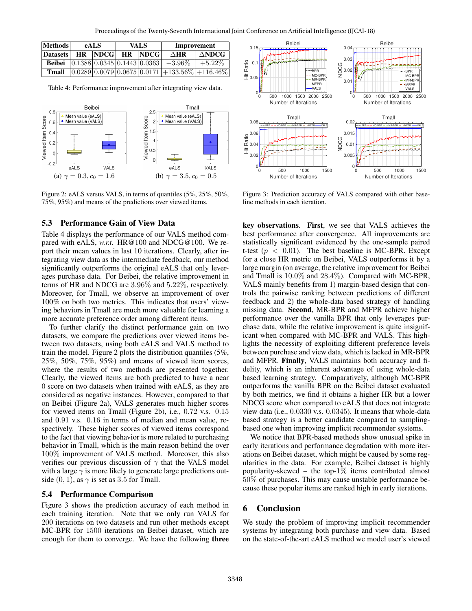| Methods         | <b>eALS</b> |                        | <b>VALS</b> |  | Improvement                                                                                      |                        |
|-----------------|-------------|------------------------|-------------|--|--------------------------------------------------------------------------------------------------|------------------------|
| <b>Datasets</b> |             | <b>HR NDCG HR NDCG</b> |             |  | $\triangle$ HR                                                                                   | $\Delta \textbf{NDCG}$ |
|                 |             |                        |             |  | <b>Beibei</b> $\left  0.1388 \right  0.0345 \left  0.1443 \right  0.0363 \left  +3.96\% \right $ | $+5.22\%$              |
| Tmall           |             |                        |             |  | $\left  0.0289 \right  0.0079 \left  0.0675 \right  0.0171 \left  +133.56\% \right  +116.46\%$   |                        |

Table 4: Performance improvement after integrating view data.



Figure 2: eALS versus VALS, in terms of quantiles (5%, 25%, 50%, 75%, 95%) and means of the predictions over viewed items.

#### 5.3 Performance Gain of View Data

Table 4 displays the performance of our VALS method compared with eALS, *w.r.t.* HR@100 and NDCG@100. We report their mean values in last 10 iterations. Clearly, after integrating view data as the intermediate feedback, our method significantly outperforms the original eALS that only leverages purchase data. For Beibei, the relative improvement in terms of HR and NDCG are 3.96% and 5.22%, respectively. Moreover, for Tmall, we observe an improvement of over 100% on both two metrics. This indicates that users' viewing behaviors in Tmall are much more valuable for learning a more accurate preference order among different items.

To further clarify the distinct performance gain on two datasets, we compare the predictions over viewed items between two datasets, using both eALS and VALS method to train the model. Figure 2 plots the distribution quantiles (5%, 25%, 50%, 75%, 95%) and means of viewed item scores, where the results of two methods are presented together. Clearly, the viewed items are both predicted to have a near 0 score on two datasets when trained with eALS, as they are considered as negative instances. However, compared to that on Beibei (Figure 2a), VALS generates much higher scores for viewed items on Tmall (Figure 2b), i.e., 0.72 v.s. 0.15 and 0.91 v.s. 0.16 in terms of median and mean value, respectively. These higher scores of viewed items correspond to the fact that viewing behavior is more related to purchasing behavior in Tmall, which is the main reason behind the over 100% improvement of VALS method. Moreover, this also verifies our previous discussion of  $\gamma$  that the VALS model with a large  $\gamma$  is more likely to generate large predictions outside  $(0, 1)$ , as  $\gamma$  is set as 3.5 for Tmall.

### 5.4 Performance Comparison

Figure 3 shows the prediction accuracy of each method in each training iteration. Note that we only run VALS for 200 iterations on two datasets and run other methods except MC-BPR for 1500 iterations on Beibei dataset, which are enough for them to converge. We have the following three



Figure 3: Prediction accuracy of VALS compared with other baseline methods in each iteration.

key observations. First, we see that VALS achieves the best performance after convergence. All improvements are statistically significant evidenced by the one-sample paired t-test ( $p < 0.01$ ). The best baseline is MC-BPR. Except for a close HR metric on Beibei, VALS outperforms it by a large margin (on average, the relative improvement for Beibei and Tmall is 10.0% and 28.4%). Compared with MC-BPR, VALS mainly benefits from 1) margin-based design that controls the pairwise ranking between predictions of different feedback and 2) the whole-data based strategy of handling missing data. Second, MR-BPR and MFPR achieve higher performance over the vanilla BPR that only leverages purchase data, while the relative improvement is quite insignificant when compared with MC-BPR and VALS. This highlights the necessity of exploiting different preference levels between purchase and view data, which is lacked in MR-BPR and MFPR. Finally, VALS maintains both accuracy and fidelity, which is an inherent advantage of using whole-data based learning strategy. Comparatively, although MC-BPR outperforms the vanilla BPR on the Beibei dataset evaluated by both metrics, we find it obtains a higher HR but a lower NDCG score when compared to eALS that does not integrate view data (i.e., 0.0330 v.s. 0.0345). It means that whole-data based strategy is a better candidate compared to samplingbased one when improving implicit recommender systems.

We notice that BPR-based methods show unusual spike in early iterations and performance degradation with more iterations on Beibei dataset, which might be caused by some regularities in the data. For example, Beibei dataset is highly popularity-skewed – the top- $1\%$  items contributed almost 50% of purchases. This may cause unstable performance because these popular items are ranked high in early iterations.

## 6 Conclusion

We study the problem of improving implicit recommender systems by integrating both purchase and view data. Based on the state-of-the-art eALS method we model user's viewed